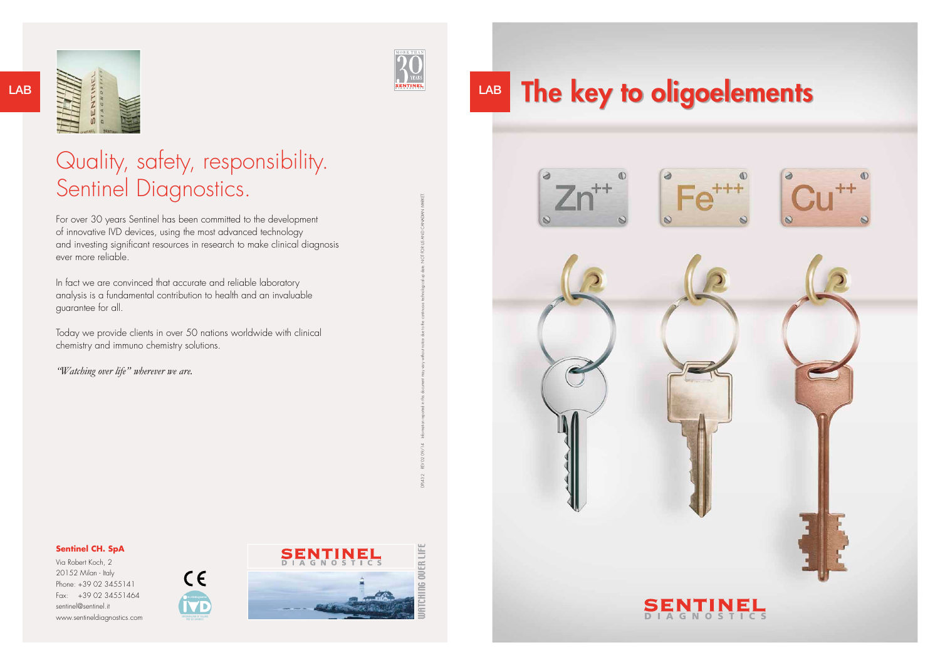



DPL432



### **Sentinel CH. SpA**

# Quality, safety, responsibility. Sentinel Diagnostics.

Via Robert Koch, 2 20152 Milan - Italy Phone: +39 02 3455141 Fax: +39 02 34551464 sentinel@sentinel.it www.sentineldiagnostics.com



For over 30 years Sentinel has been committed to the development of innovative IVD devices, using the most advanced technology and investing significant resources in research to make clinical diagnosis ever more reliable.

In fact we are convinced that accurate and reliable laboratory analysis is a fundamental contribution to health and an invaluable guarantee for all.

Today we provide clients in over 50 nations worldwide with clinical chemistry and immuno chemistry solutions.

*"Watching over life" wherever we are.*